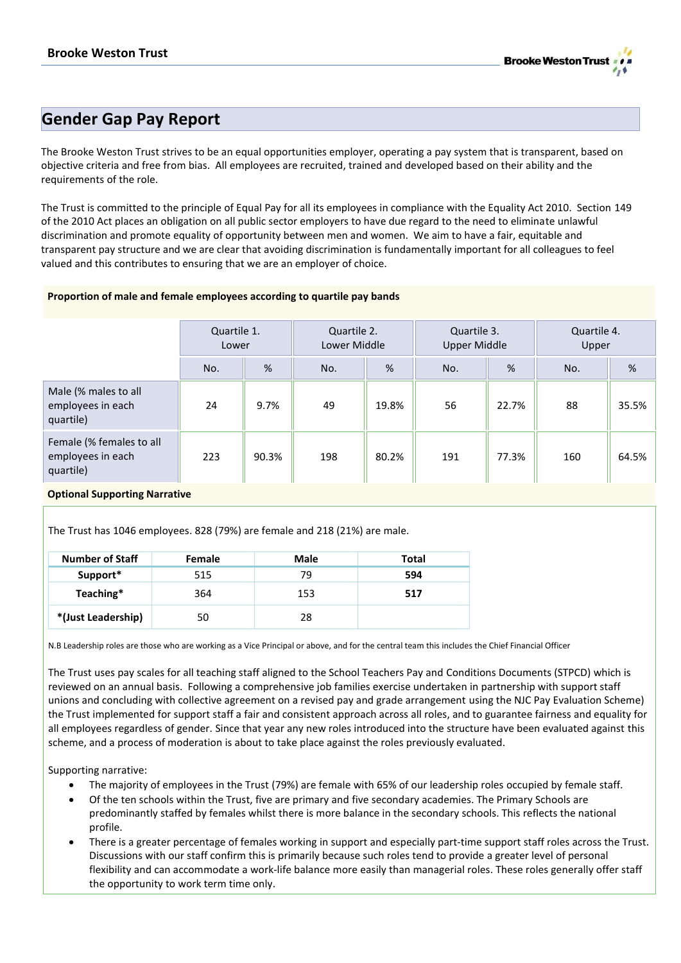

# **Gender Gap Pay Report**

The Brooke Weston Trust strives to be an equal opportunities employer, operating a pay system that is transparent, based on objective criteria and free from bias. All employees are recruited, trained and developed based on their ability and the requirements of the role.

The Trust is committed to the principle of Equal Pay for all its employees in compliance with the Equality Act 2010. Section 149 of the 2010 Act places an obligation on all public sector employers to have due regard to the need to eliminate unlawful discrimination and promote equality of opportunity between men and women. We aim to have a fair, equitable and transparent pay structure and we are clear that avoiding discrimination is fundamentally important for all colleagues to feel valued and this contributes to ensuring that we are an employer of choice.

## **Proportion of male and female employees according to quartile pay bands**

|                                                            | Quartile 1.<br>Lower |       | Quartile 2.<br>Lower Middle |       | Quartile 3.<br><b>Upper Middle</b> |       | Quartile 4.<br>Upper |       |
|------------------------------------------------------------|----------------------|-------|-----------------------------|-------|------------------------------------|-------|----------------------|-------|
|                                                            | No.                  | %     | No.                         | %     | No.                                | $\%$  | No.                  | %     |
| Male (% males to all<br>employees in each<br>quartile)     | 24                   | 9.7%  | 49                          | 19.8% | 56                                 | 22.7% | 88                   | 35.5% |
| Female (% females to all<br>employees in each<br>quartile) | 223                  | 90.3% | 198                         | 80.2% | 191                                | 77.3% | 160                  | 64.5% |

# **Optional Supporting Narrative**

The Trust has 1046 employees. 828 (79%) are female and 218 (21%) are male.

| <b>Number of Staff</b> | <b>Female</b> | Male | Total |
|------------------------|---------------|------|-------|
| Support*               | 515           | 79   | 594   |
| Teaching*              | 364           | 153  | 517   |
| *(Just Leadership)     | 50            | 28   |       |

N.B Leadership roles are those who are working as a Vice Principal or above, and for the central team this includes the Chief Financial Officer

The Trust uses pay scales for all teaching staff aligned to the School Teachers Pay and Conditions Documents (STPCD) which is reviewed on an annual basis. Following a comprehensive job families exercise undertaken in partnership with support staff unions and concluding with collective agreement on a revised pay and grade arrangement using the NJC Pay Evaluation Scheme) the Trust implemented for support staff a fair and consistent approach across all roles, and to guarantee fairness and equality for all employees regardless of gender. Since that year any new roles introduced into the structure have been evaluated against this scheme, and a process of moderation is about to take place against the roles previously evaluated.

Supporting narrative:

- The majority of employees in the Trust (79%) are female with 65% of our leadership roles occupied by female staff.
- Of the ten schools within the Trust, five are primary and five secondary academies. The Primary Schools are predominantly staffed by females whilst there is more balance in the secondary schools. This reflects the national profile.
- There is a greater percentage of females working in support and especially part-time support staff roles across the Trust. Discussions with our staff confirm this is primarily because such roles tend to provide a greater level of personal flexibility and can accommodate a work-life balance more easily than managerial roles. These roles generally offer staff the opportunity to work term time only.